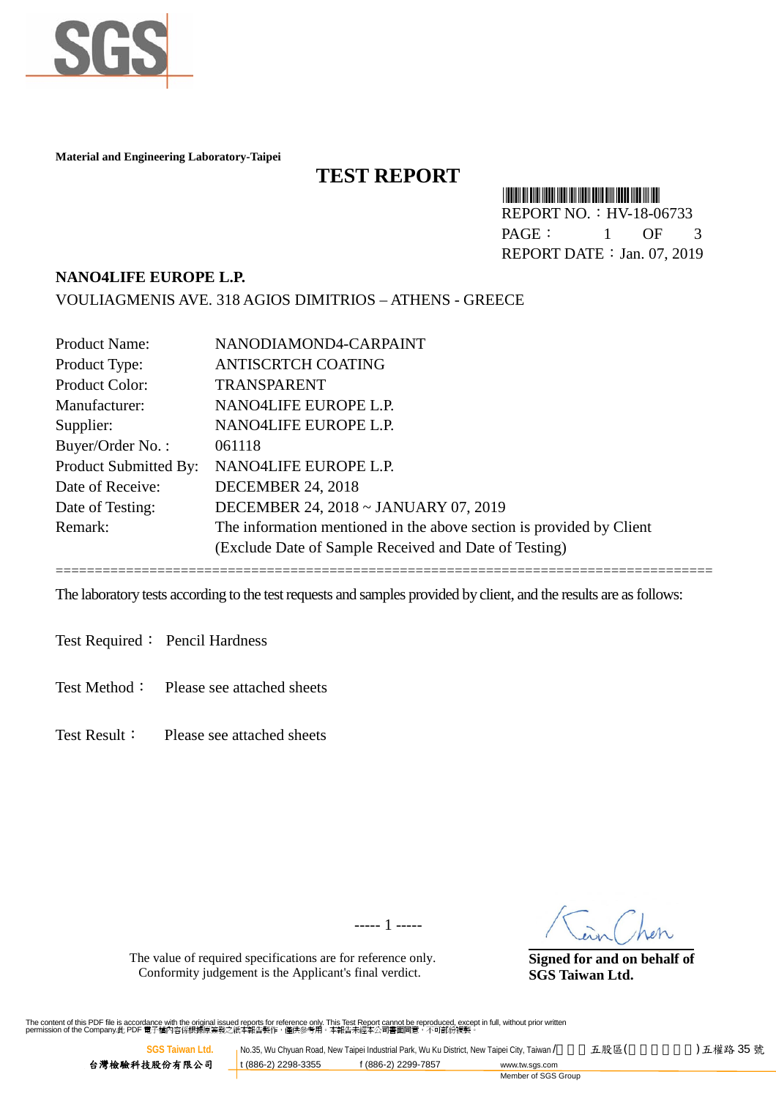

**Material and Engineering Laboratory-Taipei**

## **TEST REPORT**

\*HV-18-06733\* REPORT NO.:HV-18-06733 PAGE: 1 OF 3 REPORT DATE: Jan. 07, 2019

### **NANO4LIFE EUROPE L.P.**

VOULIAGMENIS AVE. 318 AGIOS DIMITRIOS – ATHENS - GREECE

| <b>Product Name:</b>  | NANODIAMOND4-CARPAINT                                                |
|-----------------------|----------------------------------------------------------------------|
| Product Type:         | <b>ANTISCRTCH COATING</b>                                            |
| Product Color:        | <b>TRANSPARENT</b>                                                   |
| Manufacturer:         | NANO4LIFE EUROPE L.P.                                                |
| Supplier:             | NANO4LIFE EUROPE L.P.                                                |
| Buyer/Order No.:      | 061118                                                               |
| Product Submitted By: | NANO4LIFE EUROPE L.P.                                                |
| Date of Receive:      | <b>DECEMBER 24, 2018</b>                                             |
| Date of Testing:      | DECEMBER 24, 2018 ~ JANUARY 07, 2019                                 |
| Remark:               | The information mentioned in the above section is provided by Client |
|                       | (Exclude Date of Sample Received and Date of Testing)                |
|                       |                                                                      |

The laboratory tests according to the test requests and samples provided by client, and the results are as follows:

Test Required: Pencil Hardness

Test Method: Please see attached sheets

Test Result: Please see attached sheets

----- 1 -----

The value of required specifications are for reference only. Conformity judgement is the Applicant's final verdict.

**Signed for and on behalf of SGS Taiwan Ltd.**

The content of this PDF file is accordance with the original issued reports for reference only. This Test Report cannot be reproduced, except in full, without prior written<br>permission of the Company.此 PDF 電子檔內容係根據原簽發之紙本報告

**SGS Taiwan Ltd. No.35, Wu Chyuan Road, New Taipei Industrial Park, Wu Ku District, New Taipei City, Taiwan / 五股區(htc. )五權路 35 號** 台灣檢驗科技股份有限公司 <mark>t (886-2) 2298-3355 f (886-2) 2299-7857 www.tw.sgs.com</mark>

Member of SGS Group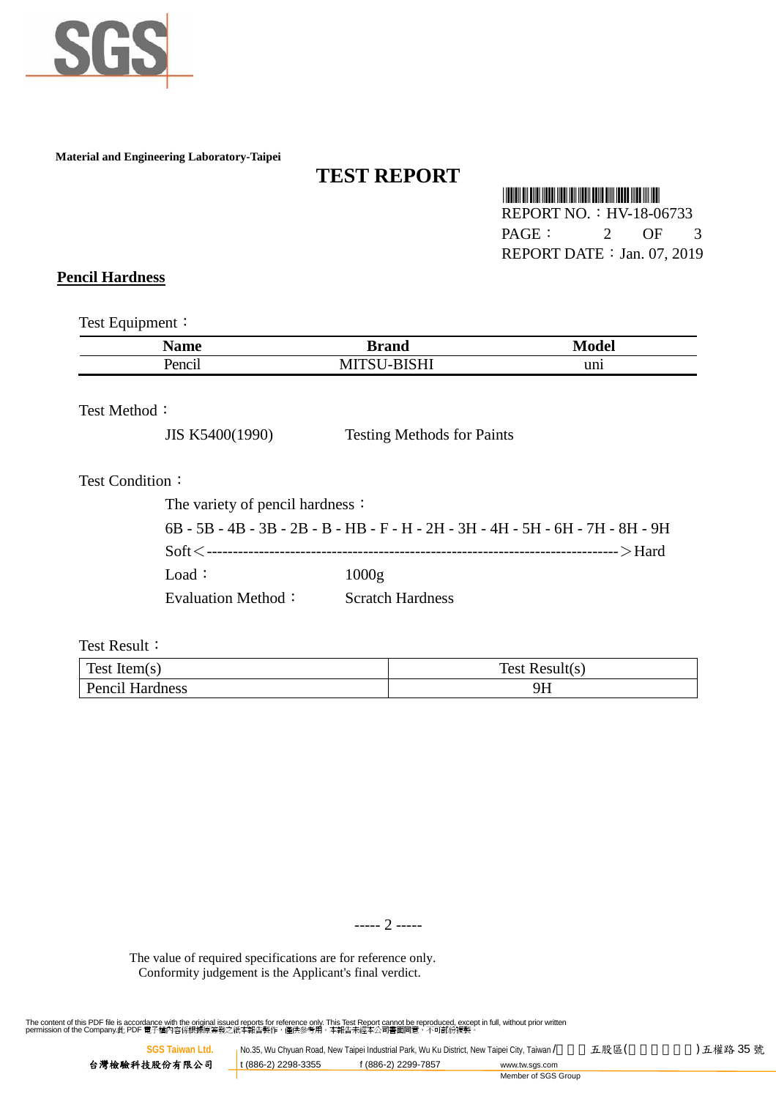

**Material and Engineering Laboratory-Taipei**

# **TEST REPORT**

\*HV-18-06733\*

REPORT NO.:HV-18-06733 PAGE: 2 OF 3 REPORT DATE: Jan. 07, 2019

#### **Pencil Hardness**

Test Equipment:

| $\sim$                                                      | $"$ rong<br>Dialiu     |     |
|-------------------------------------------------------------|------------------------|-----|
| $\ddot{\phantom{0}}$<br>Penc <sup>-</sup><br>,,,,,,<br>---- | $T\cap T$<br>w<br>,,,, | uni |

Test Method:

JIS K5400(1990) Testing Methods for Paints

## Test Condition:

The variety of pencil hardness: 6B - 5B - 4B - 3B - 2B - B - HB - F - H - 2H - 3H - 4H - 5H - 6H - 7H - 8H - 9H Soft<------------------------------------------------------------------------------->Hard Load: 1000g Evaluation Method: Scratch Hardness

Test Result:

| Test Item $(s)$        | Test $Result(s)$ |
|------------------------|------------------|
| <b>Pencil Hardness</b> | םר<br>7 T T      |

----- 2 -----

The value of required specifications are for reference only. Conformity judgement is the Applicant's final verdict.

The content of this PDF file is accordance with the original issued reports for reference only. This Test Report cannot be reproduced, except in full, without prior written<br>permission of the Company.此 PDF 電子檔內容係根據原簽發之紙本報告

台灣檢驗科技股份有限公司 <mark>t (886-2) 2298-3355 f (886-2) 2299-7857 www.tw.sgs.com</mark>

**SGS Taiwan Ltd. No.35, Wu Chyuan Road, New Taipei Industrial Park, Wu Ku District, New Taipei City, Taiwan / 五股區(htc. )五權路 35 號**